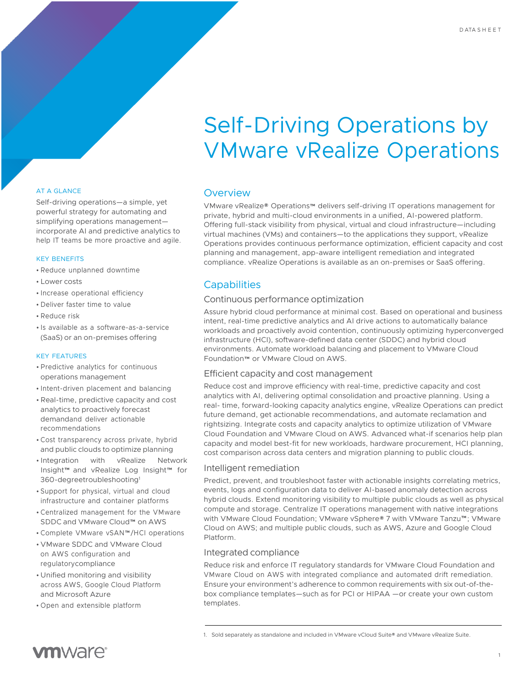# Self-Driving Operations by VMware vRealize Operations

#### AT A GLANCE

Self-driving operations—a simple, yet powerful strategy for automating and simplifying operations management incorporate AI and predictive analytics to help IT teams be more proactive and agile.

#### KEY BENEFITS

- Reduce unplanned downtime
- Lower costs
- Increase operational efficiency
- Deliver faster time to value
- Reduce risk
- Is available as a software-as-a-service (SaaS) or an on-premises offering

#### KEY FEATURES

- Predictive analytics for continuous operations management
- Intent-driven placement and balancing
- Real-time, predictive capacity and cost analytics to proactively forecast demandand deliver actionable recommendations
- Cost transparency across private, hybrid and public clouds to optimize planning
- Integration with vRealize Network Insight™ and vRealize Log Insight™ for 360-degreetroubleshooting1
- Support for physical, virtual and cloud infrastructure and container platforms
- Centralized management for the VMware SDDC and VMware Cloud™ on AWS
- Complete VMware vSAN™/HCI operations
- VMware SDDC and VMware Cloud on AWS configuration and regulatorycompliance
- Unified monitoring and visibility across AWS, Google Cloud Platform and Microsoft Azure
- Open and extensible platform

#### Overview

VMware vRealize® Operations™ delivers self-driving IT operations management for private, hybrid and multi-cloud environments in a unified, AI-powered platform. Offering full-stack visibility from physical, virtual and cloud infrastructure—including virtual machines (VMs) and containers—to the applications they support, vRealize Operations provides continuous performance optimization, efficient capacity and cost planning and management, app-aware intelligent remediation and integrated compliance. vRealize Operations is available as an on-premises or SaaS offering.

### **Capabilities**

#### Continuous performance optimization

Assure hybrid cloud performance at minimal cost. Based on operational and business intent, real-time predictive analytics and AI drive actions to automatically balance workloads and proactively avoid contention, continuously optimizing hyperconverged infrastructure (HCI), software-defined data center (SDDC) and hybrid cloud environments. Automate workload balancing and placement to VMware Cloud Foundation™ or VMware Cloud on AWS.

#### Efficient capacity and cost management

Reduce cost and improve efficiency with real-time, predictive capacity and cost analytics with AI, delivering optimal consolidation and proactive planning. Using a real- time, forward-looking capacity analytics engine, vRealize Operations can predict future demand, get actionable recommendations, and automate reclamation and rightsizing. Integrate costs and capacity analytics to optimize utilization of VMware Cloud Foundation and VMware Cloud on AWS. Advanced what-if scenarios help plan capacity and model best-fit for new workloads, hardware procurement, HCI planning, cost comparison across data centers and migration planning to public clouds.

#### Intelligent remediation

Predict, prevent, and troubleshoot faster with actionable insights correlating metrics, events, logs and configuration data to deliver AI-based anomaly detection across hybrid clouds. Extend monitoring visibility to multiple public clouds as well as physical compute and storage. Centralize IT operations management with native integrations with VMware Cloud Foundation; VMware vSphere® 7 with VMware Tanzu™; VMware Cloud on AWS; and multiple public clouds, such as AWS, Azure and Google Cloud Platform.

#### Integrated compliance

Reduce risk and enforce IT regulatory standards for VMware Cloud Foundation and VMware Cloud on AWS with integrated compliance and automated drift remediation. Ensure your environment's adherence to common requirements with six out-of-thebox compliance templates—such as for PCI or HIPAA —or create your own custom templates.

<sup>1.</sup> Sold separately as standalone and included in VMware vCloud Suite® and VMware vRealize Suite.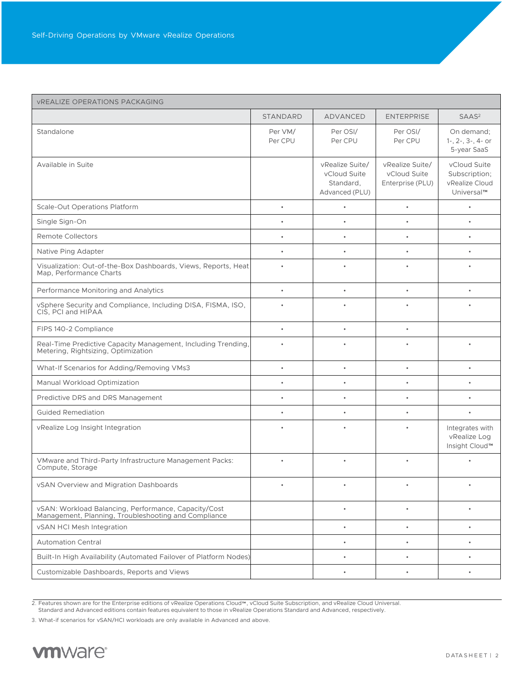| <b>VREALIZE OPERATIONS PACKAGING</b>                                                                         |                    |                                                                |                                                     |                                                               |
|--------------------------------------------------------------------------------------------------------------|--------------------|----------------------------------------------------------------|-----------------------------------------------------|---------------------------------------------------------------|
|                                                                                                              | <b>STANDARD</b>    | ADVANCED                                                       | <b>ENTERPRISE</b>                                   | SAAS <sup>2</sup>                                             |
| Standalone                                                                                                   | Per VM/<br>Per CPU | Per OSI/<br>Per CPU                                            | Per OSI/<br>Per CPU                                 | On demand:<br>$1-, 2-, 3-, 4-$ or<br>5-year SaaS              |
| Available in Suite                                                                                           |                    | vRealize Suite/<br>vCloud Suite<br>Standard,<br>Advanced (PLU) | vRealize Suite/<br>vCloud Suite<br>Enterprise (PLU) | vCloud Suite<br>Subscription;<br>vRealize Cloud<br>Universal™ |
| <b>Scale-Out Operations Platform</b>                                                                         | $\bullet$          |                                                                | $\bullet$                                           | $\bullet$                                                     |
| Single Sign-On                                                                                               |                    |                                                                | $\bullet$                                           | $\bullet$                                                     |
| <b>Remote Collectors</b>                                                                                     |                    |                                                                |                                                     |                                                               |
| Native Ping Adapter                                                                                          |                    |                                                                |                                                     |                                                               |
| Visualization: Out-of-the-Box Dashboards, Views, Reports, Heat<br>Map, Performance Charts                    | $\bullet$          |                                                                | $\bullet$                                           | ٠                                                             |
| Performance Monitoring and Analytics                                                                         | $\bullet$          |                                                                | $\bullet$                                           | $\bullet$                                                     |
| vSphere Security and Compliance, Including DISA, FISMA, ISO,<br>CIS, PCI and HIPAA                           |                    |                                                                |                                                     |                                                               |
| FIPS 140-2 Compliance                                                                                        | $\bullet$          | $\bullet$                                                      | $\bullet$                                           |                                                               |
| Real-Time Predictive Capacity Management, Including Trending,<br>Metering, Rightsizing, Optimization         | $\bullet$          |                                                                |                                                     | $\bullet$                                                     |
| What-If Scenarios for Adding/Removing VMs3                                                                   | $\bullet$          | $\bullet$                                                      | $\bullet$                                           | $\bullet$                                                     |
| Manual Workload Optimization                                                                                 |                    |                                                                | $\bullet$                                           |                                                               |
| Predictive DRS and DRS Management                                                                            | $\bullet$          |                                                                | $\bullet$                                           |                                                               |
| <b>Guided Remediation</b>                                                                                    | $\bullet$          |                                                                | ٠                                                   | $\bullet$                                                     |
| vRealize Log Insight Integration                                                                             |                    |                                                                | $\bullet$                                           | Integrates with<br>vRealize Log<br>Insight Cloud™             |
| VMware and Third-Party Infrastructure Management Packs:<br>Compute, Storage                                  |                    |                                                                |                                                     |                                                               |
| vSAN Overview and Migration Dashboards                                                                       |                    |                                                                |                                                     |                                                               |
| vSAN: Workload Balancing, Performance, Capacity/Cost<br>Management, Planning, Troubleshooting and Compliance |                    | $\bullet$                                                      | $\bullet$                                           | $\bullet$                                                     |
| vSAN HCI Mesh Integration                                                                                    |                    | $\bullet$                                                      | $\bullet$                                           | $\bullet$                                                     |
| <b>Automation Central</b>                                                                                    |                    | $\bullet$                                                      | ٠                                                   | ٠                                                             |
| Built-In High Availability (Automated Failover of Platform Nodes)                                            |                    | $\bullet$                                                      | $\bullet$                                           | ۰                                                             |
| Customizable Dashboards, Reports and Views                                                                   |                    |                                                                | $\bullet$                                           | ۰                                                             |

<sup>2.</sup> Features shown are for the Enterprise editions of vRealize Operations Cloud™, vCloud Suite Subscription, and vRealize Cloud Universal. Standard and Advanced editions contain features equivalent to those in vRealize Operations Standard and Advanced, respectively.

3. What-if scenarios for vSAN/HCI workloads are only available in Advanced and above.

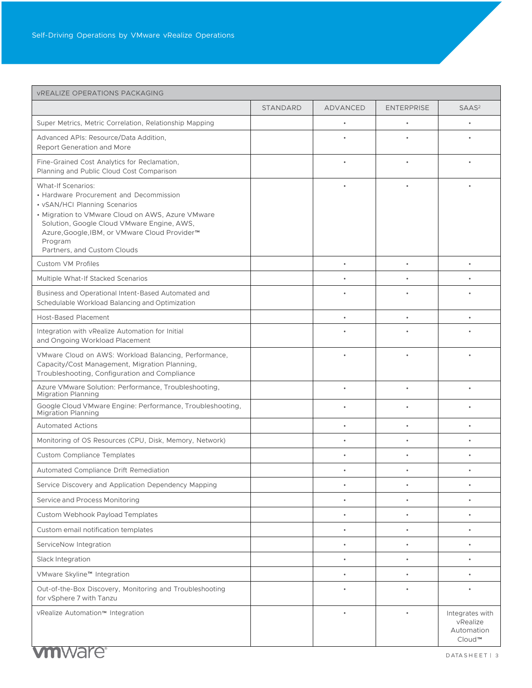| <b>VREALIZE OPERATIONS PACKAGING</b>                                                                                                                                                                                                                                                               |                 |                 |                   |                                                     |
|----------------------------------------------------------------------------------------------------------------------------------------------------------------------------------------------------------------------------------------------------------------------------------------------------|-----------------|-----------------|-------------------|-----------------------------------------------------|
|                                                                                                                                                                                                                                                                                                    | <b>STANDARD</b> | <b>ADVANCED</b> | <b>ENTERPRISE</b> | SAAS <sup>2</sup>                                   |
| Super Metrics, Metric Correlation, Relationship Mapping                                                                                                                                                                                                                                            |                 |                 |                   |                                                     |
| Advanced APIs: Resource/Data Addition,<br><b>Report Generation and More</b>                                                                                                                                                                                                                        |                 |                 |                   |                                                     |
| Fine-Grained Cost Analytics for Reclamation,<br>Planning and Public Cloud Cost Comparison                                                                                                                                                                                                          |                 |                 |                   |                                                     |
| <b>What-If Scenarios:</b><br>• Hardware Procurement and Decommission<br>• vSAN/HCI Planning Scenarios<br>• Migration to VMware Cloud on AWS, Azure VMware<br>Solution, Google Cloud VMware Engine, AWS,<br>Azure, Google, IBM, or VMware Cloud Provider™<br>Program<br>Partners, and Custom Clouds |                 |                 |                   |                                                     |
| <b>Custom VM Profiles</b>                                                                                                                                                                                                                                                                          |                 | $\bullet$       |                   |                                                     |
| Multiple What-If Stacked Scenarios                                                                                                                                                                                                                                                                 |                 | $\bullet$       | $\bullet$         | $\bullet$                                           |
| Business and Operational Intent-Based Automated and<br>Schedulable Workload Balancing and Optimization                                                                                                                                                                                             |                 |                 |                   |                                                     |
| <b>Host-Based Placement</b>                                                                                                                                                                                                                                                                        |                 |                 |                   |                                                     |
| Integration with vRealize Automation for Initial<br>and Ongoing Workload Placement                                                                                                                                                                                                                 |                 |                 |                   |                                                     |
| VMware Cloud on AWS: Workload Balancing, Performance,<br>Capacity/Cost Management, Migration Planning,<br>Troubleshooting, Configuration and Compliance                                                                                                                                            |                 |                 |                   |                                                     |
| Azure VMware Solution: Performance, Troubleshooting,<br><b>Migration Planning</b>                                                                                                                                                                                                                  |                 | $\bullet$       | $\bullet$         | ٠                                                   |
| Google Cloud VMware Engine: Performance, Troubleshooting,<br><b>Migration Planning</b>                                                                                                                                                                                                             |                 |                 |                   |                                                     |
| <b>Automated Actions</b>                                                                                                                                                                                                                                                                           |                 |                 |                   |                                                     |
| Monitoring of OS Resources (CPU, Disk, Memory, Network)                                                                                                                                                                                                                                            |                 |                 |                   |                                                     |
| <b>Custom Compliance Templates</b>                                                                                                                                                                                                                                                                 |                 |                 |                   |                                                     |
| Automated Compliance Drift Remediation                                                                                                                                                                                                                                                             |                 |                 |                   |                                                     |
| Service Discovery and Application Dependency Mapping                                                                                                                                                                                                                                               |                 |                 |                   |                                                     |
| Service and Process Monitoring                                                                                                                                                                                                                                                                     |                 | ۰               |                   | ٠                                                   |
| Custom Webhook Payload Templates                                                                                                                                                                                                                                                                   |                 |                 |                   |                                                     |
| Custom email notification templates                                                                                                                                                                                                                                                                |                 | $\bullet$       |                   |                                                     |
| ServiceNow Integration                                                                                                                                                                                                                                                                             |                 | $\bullet$       | $\bullet$         | ٠                                                   |
| Slack Integration                                                                                                                                                                                                                                                                                  |                 | $\bullet$       | $\bullet$         | $\bullet$                                           |
| VMware Skyline™ Integration                                                                                                                                                                                                                                                                        |                 | $\bullet$       | $\bullet$         | $\bullet$                                           |
| Out-of-the-Box Discovery, Monitoring and Troubleshooting<br>for vSphere 7 with Tanzu                                                                                                                                                                                                               |                 |                 |                   |                                                     |
| vRealize Automation™ Integration                                                                                                                                                                                                                                                                   |                 |                 |                   | Integrates with<br>vRealize<br>Automation<br>Cloud™ |
| vmware <sup>®</sup>                                                                                                                                                                                                                                                                                |                 |                 |                   | DATASHEET   3                                       |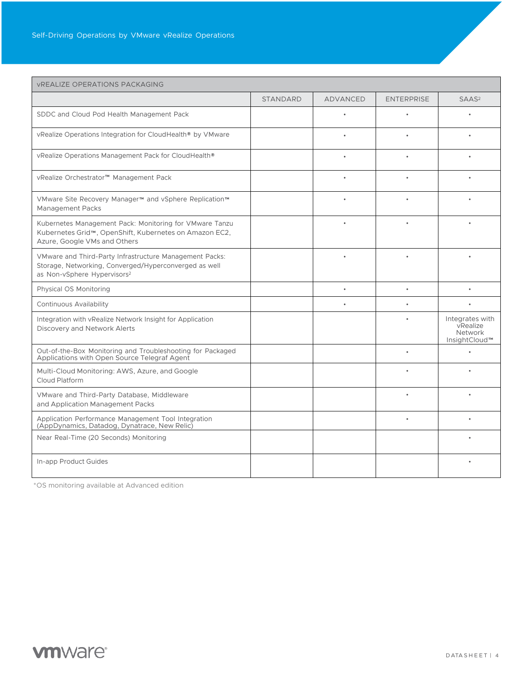| <b>VREALIZE OPERATIONS PACKAGING</b>                                                                                                                        |                 |           |                   |                                                         |
|-------------------------------------------------------------------------------------------------------------------------------------------------------------|-----------------|-----------|-------------------|---------------------------------------------------------|
|                                                                                                                                                             | <b>STANDARD</b> | ADVANCED  | <b>ENTERPRISE</b> | SAAS <sup>2</sup>                                       |
| SDDC and Cloud Pod Health Management Pack                                                                                                                   |                 | $\bullet$ |                   |                                                         |
| vRealize Operations Integration for CloudHealth® by VMware                                                                                                  |                 |           |                   |                                                         |
| vRealize Operations Management Pack for CloudHealth®                                                                                                        |                 |           |                   |                                                         |
| vRealize Orchestrator™ Management Pack                                                                                                                      |                 | $\bullet$ | $\bullet$         |                                                         |
| VMware Site Recovery Manager™ and vSphere Replication™<br><b>Management Packs</b>                                                                           |                 | $\bullet$ | $\bullet$         |                                                         |
| Kubernetes Management Pack: Monitoring for VMware Tanzu<br>Kubernetes Grid™, OpenShift, Kubernetes on Amazon EC2,<br>Azure, Google VMs and Others           |                 |           |                   |                                                         |
| VMware and Third-Party Infrastructure Management Packs:<br>Storage, Networking, Converged/Hyperconverged as well<br>as Non-vSphere Hypervisors <sup>2</sup> |                 |           |                   |                                                         |
| Physical OS Monitoring                                                                                                                                      |                 | $\bullet$ | $\bullet$         | $\bullet$                                               |
| <b>Continuous Availability</b>                                                                                                                              |                 |           |                   |                                                         |
| Integration with vRealize Network Insight for Application<br>Discovery and Network Alerts                                                                   |                 |           |                   | Integrates with<br>vRealize<br>Network<br>InsightCloud™ |
| Out-of-the-Box Monitoring and Troubleshooting for Packaged<br>Applications with Open Source Telegraf Agent                                                  |                 |           |                   |                                                         |
| Multi-Cloud Monitoring: AWS, Azure, and Google<br>Cloud Platform                                                                                            |                 |           |                   |                                                         |
| VMware and Third-Party Database, Middleware<br>and Application Management Packs                                                                             |                 |           |                   |                                                         |
| Application Performance Management Tool Integration<br>(AppDynamics, Datadog, Dynatrace, New Relic)                                                         |                 |           |                   |                                                         |
| Near Real-Time (20 Seconds) Monitoring                                                                                                                      |                 |           |                   |                                                         |
| In-app Product Guides                                                                                                                                       |                 |           |                   |                                                         |

\*OS monitoring available at Advanced edition

# **vm**ware<sup>®</sup>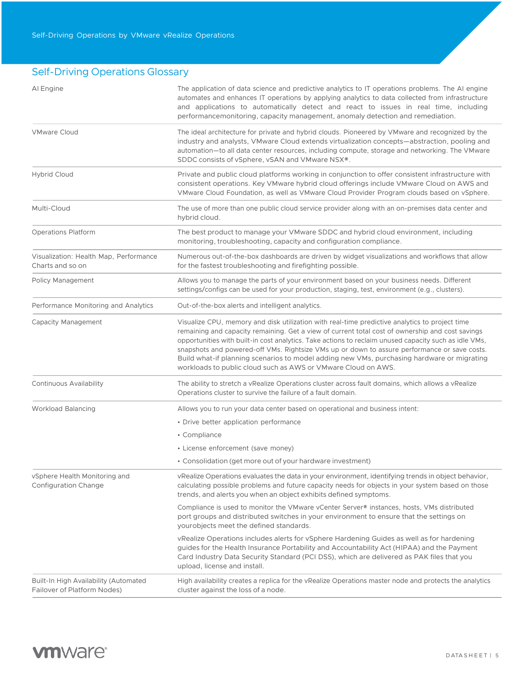## Self-Driving Operations Glossary

| AI Engine                                                            | The application of data science and predictive analytics to IT operations problems. The AI engine<br>automates and enhances IT operations by applying analytics to data collected from infrastructure<br>and applications to automatically detect and react to issues in real time, including<br>performancemonitoring, capacity management, anomaly detection and remediation.                                                                                                                                                                                            |
|----------------------------------------------------------------------|----------------------------------------------------------------------------------------------------------------------------------------------------------------------------------------------------------------------------------------------------------------------------------------------------------------------------------------------------------------------------------------------------------------------------------------------------------------------------------------------------------------------------------------------------------------------------|
| <b>VMware Cloud</b>                                                  | The ideal architecture for private and hybrid clouds. Pioneered by VMware and recognized by the<br>industry and analysts, VMware Cloud extends virtualization concepts—abstraction, pooling and<br>automation-to all data center resources, including compute, storage and networking. The VMware<br>SDDC consists of vSphere, vSAN and VMware NSX®.                                                                                                                                                                                                                       |
| <b>Hybrid Cloud</b>                                                  | Private and public cloud platforms working in conjunction to offer consistent infrastructure with<br>consistent operations. Key VMware hybrid cloud offerings include VMware Cloud on AWS and<br>VMware Cloud Foundation, as well as VMware Cloud Provider Program clouds based on vSphere.                                                                                                                                                                                                                                                                                |
| Multi-Cloud                                                          | The use of more than one public cloud service provider along with an on-premises data center and<br>hybrid cloud.                                                                                                                                                                                                                                                                                                                                                                                                                                                          |
| <b>Operations Platform</b>                                           | The best product to manage your VMware SDDC and hybrid cloud environment, including<br>monitoring, troubleshooting, capacity and configuration compliance.                                                                                                                                                                                                                                                                                                                                                                                                                 |
| Visualization: Health Map, Performance<br>Charts and so on           | Numerous out-of-the-box dashboards are driven by widget visualizations and workflows that allow<br>for the fastest troubleshooting and firefighting possible.                                                                                                                                                                                                                                                                                                                                                                                                              |
| Policy Management                                                    | Allows you to manage the parts of your environment based on your business needs. Different<br>settings/configs can be used for your production, staging, test, environment (e.g., clusters).                                                                                                                                                                                                                                                                                                                                                                               |
| Performance Monitoring and Analytics                                 | Out-of-the-box alerts and intelligent analytics.                                                                                                                                                                                                                                                                                                                                                                                                                                                                                                                           |
| Capacity Management                                                  | Visualize CPU, memory and disk utilization with real-time predictive analytics to project time<br>remaining and capacity remaining. Get a view of current total cost of ownership and cost savings<br>opportunities with built-in cost analytics. Take actions to reclaim unused capacity such as idle VMs,<br>snapshots and powered-off VMs. Rightsize VMs up or down to assure performance or save costs.<br>Build what-if planning scenarios to model adding new VMs, purchasing hardware or migrating<br>workloads to public cloud such as AWS or VMware Cloud on AWS. |
| <b>Continuous Availability</b>                                       | The ability to stretch a vRealize Operations cluster across fault domains, which allows a vRealize<br>Operations cluster to survive the failure of a fault domain.                                                                                                                                                                                                                                                                                                                                                                                                         |
| <b>Workload Balancing</b>                                            | Allows you to run your data center based on operational and business intent:                                                                                                                                                                                                                                                                                                                                                                                                                                                                                               |
|                                                                      | • Drive better application performance                                                                                                                                                                                                                                                                                                                                                                                                                                                                                                                                     |
|                                                                      | • Compliance                                                                                                                                                                                                                                                                                                                                                                                                                                                                                                                                                               |
|                                                                      | • License enforcement (save money)                                                                                                                                                                                                                                                                                                                                                                                                                                                                                                                                         |
|                                                                      | • Consolidation (get more out of your hardware investment)                                                                                                                                                                                                                                                                                                                                                                                                                                                                                                                 |
| vSphere Health Monitoring and<br><b>Configuration Change</b>         | vRealize Operations evaluates the data in your environment, identifying trends in object behavior,<br>calculating possible problems and future capacity needs for objects in your system based on those<br>trends, and alerts you when an object exhibits defined symptoms.                                                                                                                                                                                                                                                                                                |
|                                                                      | Compliance is used to monitor the VMware vCenter Server <sup>®</sup> instances, hosts, VMs distributed<br>port groups and distributed switches in your environment to ensure that the settings on<br>yourobjects meet the defined standards.                                                                                                                                                                                                                                                                                                                               |
|                                                                      | vRealize Operations includes alerts for vSphere Hardening Guides as well as for hardening<br>guides for the Health Insurance Portability and Accountability Act (HIPAA) and the Payment<br>Card Industry Data Security Standard (PCI DSS), which are delivered as PAK files that you<br>upload, license and install.                                                                                                                                                                                                                                                       |
| Built-In High Availability (Automated<br>Failover of Platform Nodes) | High availability creates a replica for the vRealize Operations master node and protects the analytics<br>cluster against the loss of a node.                                                                                                                                                                                                                                                                                                                                                                                                                              |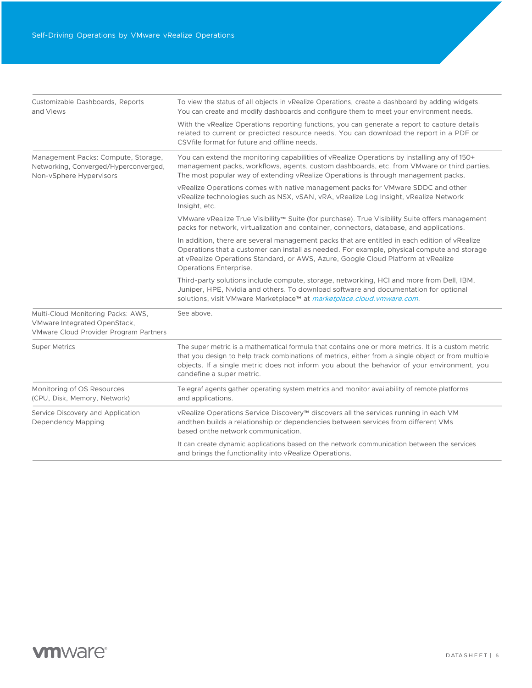| Customizable Dashboards, Reports<br>and Views                                                                | To view the status of all objects in vRealize Operations, create a dashboard by adding widgets.<br>You can create and modify dashboards and configure them to meet your environment needs.                                                                                                                                             |  |  |
|--------------------------------------------------------------------------------------------------------------|----------------------------------------------------------------------------------------------------------------------------------------------------------------------------------------------------------------------------------------------------------------------------------------------------------------------------------------|--|--|
|                                                                                                              | With the vRealize Operations reporting functions, you can generate a report to capture details<br>related to current or predicted resource needs. You can download the report in a PDF or<br>CSV file format for future and offline needs.                                                                                             |  |  |
| Management Packs: Compute, Storage,<br>Networking, Converged/Hyperconverged,<br>Non-vSphere Hypervisors      | You can extend the monitoring capabilities of vRealize Operations by installing any of 150+<br>management packs, workflows, agents, custom dashboards, etc. from VMware or third parties.<br>The most popular way of extending vRealize Operations is through management packs.                                                        |  |  |
|                                                                                                              | vRealize Operations comes with native management packs for VMware SDDC and other<br>vRealize technologies such as NSX, vSAN, vRA, vRealize Log Insight, vRealize Network<br>Insight, etc.                                                                                                                                              |  |  |
|                                                                                                              | VMware vRealize True Visibility™ Suite (for purchase). True Visibility Suite offers management<br>packs for network, virtualization and container, connectors, database, and applications.                                                                                                                                             |  |  |
|                                                                                                              | In addition, there are several management packs that are entitled in each edition of vRealize<br>Operations that a customer can install as needed. For example, physical compute and storage<br>at vRealize Operations Standard, or AWS, Azure, Google Cloud Platform at vRealize<br>Operations Enterprise.                            |  |  |
|                                                                                                              | Third-party solutions include compute, storage, networking, HCI and more from Dell, IBM,<br>Juniper, HPE, Nvidia and others. To download software and documentation for optional<br>solutions, visit VMware Marketplace™ at marketplace.cloud.vmware.com.                                                                              |  |  |
| Multi-Cloud Monitoring Packs: AWS,<br>VMware Integrated OpenStack,<br>VMware Cloud Provider Program Partners | See above.                                                                                                                                                                                                                                                                                                                             |  |  |
| <b>Super Metrics</b>                                                                                         | The super metric is a mathematical formula that contains one or more metrics. It is a custom metric<br>that you design to help track combinations of metrics, either from a single object or from multiple<br>objects. If a single metric does not inform you about the behavior of your environment, you<br>candefine a super metric. |  |  |
| Monitoring of OS Resources<br>(CPU, Disk, Memory, Network)                                                   | Telegraf agents gather operating system metrics and monitor availability of remote platforms<br>and applications.                                                                                                                                                                                                                      |  |  |
| Service Discovery and Application<br>Dependency Mapping                                                      | vRealize Operations Service Discovery <sup>™</sup> discovers all the services running in each VM<br>andthen builds a relationship or dependencies between services from different VMs<br>based onthe network communication.                                                                                                            |  |  |
|                                                                                                              | It can create dynamic applications based on the network communication between the services<br>and brings the functionality into vRealize Operations.                                                                                                                                                                                   |  |  |